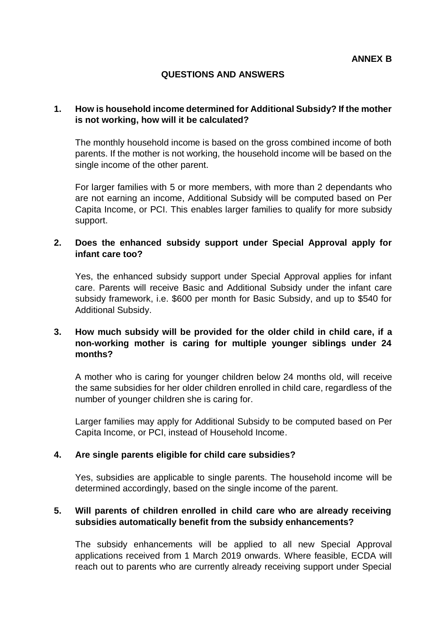## **QUESTIONS AND ANSWERS**

### **1. How is household income determined for Additional Subsidy? If the mother is not working, how will it be calculated?**

The monthly household income is based on the gross combined income of both parents. If the mother is not working, the household income will be based on the single income of the other parent.

For larger families with 5 or more members, with more than 2 dependants who are not earning an income, Additional Subsidy will be computed based on Per Capita Income, or PCI. This enables larger families to qualify for more subsidy support.

## **2. Does the enhanced subsidy support under Special Approval apply for infant care too?**

Yes, the enhanced subsidy support under Special Approval applies for infant care. Parents will receive Basic and Additional Subsidy under the infant care subsidy framework, i.e. \$600 per month for Basic Subsidy, and up to \$540 for Additional Subsidy.

## **3. How much subsidy will be provided for the older child in child care, if a non-working mother is caring for multiple younger siblings under 24 months?**

A mother who is caring for younger children below 24 months old, will receive the same subsidies for her older children enrolled in child care, regardless of the number of younger children she is caring for.

Larger families may apply for Additional Subsidy to be computed based on Per Capita Income, or PCI, instead of Household Income.

#### **4. Are single parents eligible for child care subsidies?**

Yes, subsidies are applicable to single parents. The household income will be determined accordingly, based on the single income of the parent.

#### **5. Will parents of children enrolled in child care who are already receiving subsidies automatically benefit from the subsidy enhancements?**

The subsidy enhancements will be applied to all new Special Approval applications received from 1 March 2019 onwards. Where feasible, ECDA will reach out to parents who are currently already receiving support under Special